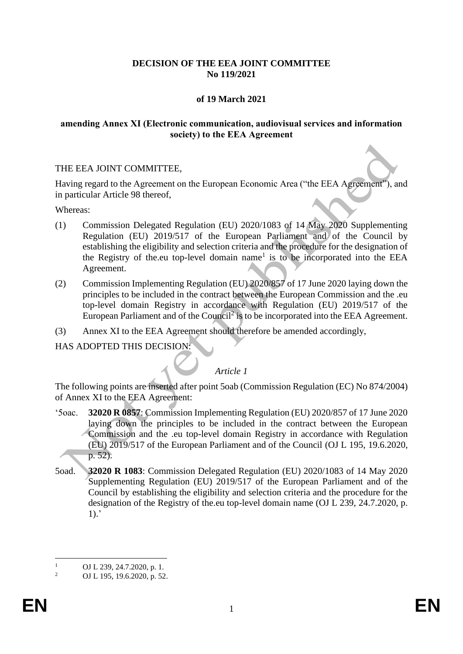# **DECISION OF THE EEA JOINT COMMITTEE No 119/2021**

# **of 19 March 2021**

## **amending Annex XI (Electronic communication, audiovisual services and information society) to the EEA Agreement**

## THE EEA JOINT COMMITTEE,

Having regard to the Agreement on the European Economic Area ("the EEA Agreement"), and in particular Article 98 thereof,

Whereas:

- (1) Commission Delegated Regulation (EU) 2020/1083 of 14 May 2020 Supplementing Regulation (EU) 2019/517 of the European Parliament and of the Council by establishing the eligibility and selection criteria and the procedure for the designation of the Registry of the.eu top-level domain name<sup>1</sup> is to be incorporated into the EEA Agreement.
- (2) Commission Implementing Regulation (EU) 2020/857 of 17 June 2020 laying down the principles to be included in the contract between the European Commission and the .eu top-level domain Registry in accordance with Regulation (EU) 2019/517 of the European Parliament and of the Council<sup>2</sup> is to be incorporated into the EEA Agreement.
- (3) Annex XI to the EEA Agreement should therefore be amended accordingly,

HAS ADOPTED THIS DECISION:

# *Article 1*

The following points are inserted after point 5oab (Commission Regulation (EC) No 874/2004) of Annex XI to the EEA Agreement:

- '5oac. **32020 R 0857**: Commission Implementing Regulation (EU) 2020/857 of 17 June 2020 laying down the principles to be included in the contract between the European Commission and the .eu top-level domain Registry in accordance with Regulation (EU) 2019/517 of the European Parliament and of the Council (OJ L 195, 19.6.2020, p. 52).
- 5oad. **32020 R 1083**: Commission Delegated Regulation (EU) 2020/1083 of 14 May 2020 Supplementing Regulation (EU) 2019/517 of the European Parliament and of the Council by establishing the eligibility and selection criteria and the procedure for the designation of the Registry of the.eu top-level domain name (OJ L 239, 24.7.2020, p.  $1$ ).'

 $\frac{1}{2}$  OJ L 239, 24.7.2020, p. 1.

<sup>2</sup> OJ L 195, 19.6.2020, p. 52.